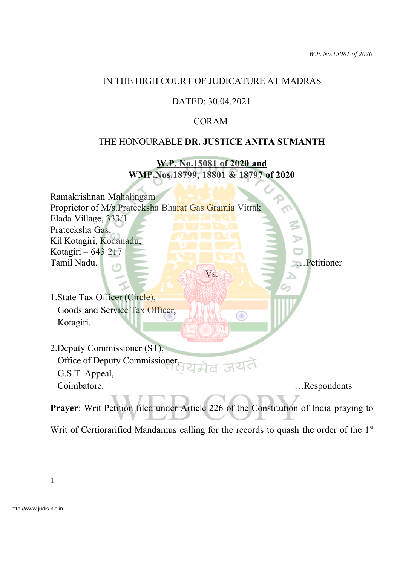# IN THE HIGH COURT OF JUDICATURE AT MADRAS

## DATED: 30.04.2021

## CORAM

#### THE HONOURABLE **DR. JUSTICE ANITA SUMANTH**

**W.P. No.15081 of 2020 and WMP.Nos.18799, 18801 & 18797 of 2020**

Ramakrishnan Mahalingam Proprietor of M/s.Prateeksha Bharat Gas Gramia Vitrak Elada Village, 333/1 Prateeksha Gas, Kil Kotagiri, Kodanadu, Kotagiri – 643 217 Tamil Nadu. **Executive Contract of the Contract of Contract of the Contract of Contract of Contract of Contract of Contract of Contract of Contract of Contract of Contract of Contract of Contract of Contract of Contract of** Vs.

- 1.State Tax Officer (Circle), Goods and Service Tax Officer, Kotagiri.
- 2.Deputy Commissioner (ST), Office of Deputy Commissioner, G.S.T. Appeal, Coimbatore. …Respondents

**Prayer**: Writ Petition filed under Article 226 of the Constitution of India praying to

T

Writ of Certiorarified Mandamus calling for the records to quash the order of the 1<sup>st</sup>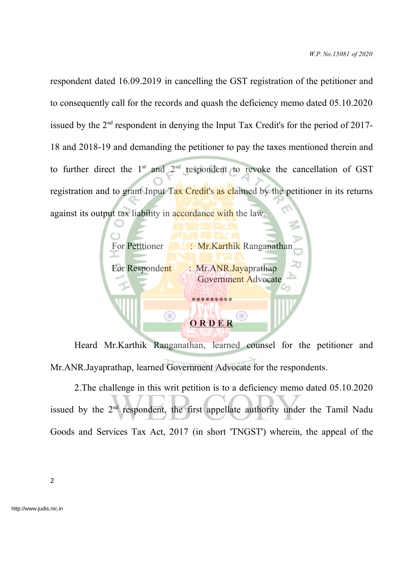respondent dated 16.09.2019 in cancelling the GST registration of the petitioner and to consequently call for the records and quash the deficiency memo dated 05.10.2020 issued by the  $2<sup>nd</sup>$  respondent in denying the Input Tax Credit's for the period of 2017-18 and 2018-19 and demanding the petitioner to pay the taxes mentioned therein and to further direct the  $1<sup>st</sup>$  and  $2<sup>nd</sup>$  respondent to revoke the cancellation of GST registration and to grant Input Tax Credit's as claimed by the petitioner in its returns against its output tax liability in accordance with the law.



Heard Mr.Karthik Ranganathan, learned counsel for the petitioner and Mr.ANR.Jayaprathap, learned Government Advocate for the respondents.

2.The challenge in this writ petition is to a deficiency memo dated 05.10.2020 issued by the  $2<sup>nd</sup>$  respondent, the first appellate authority under the Tamil Nadu Goods and Services Tax Act, 2017 (in short 'TNGST') wherein, the appeal of the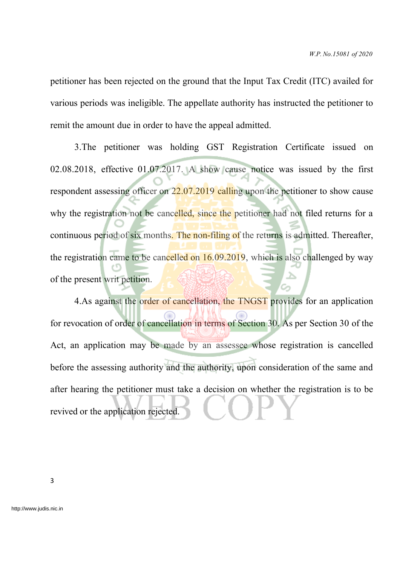petitioner has been rejected on the ground that the Input Tax Credit (ITC) availed for various periods was ineligible. The appellate authority has instructed the petitioner to remit the amount due in order to have the appeal admitted.

3.The petitioner was holding GST Registration Certificate issued on 02.08.2018, effective 01.07.2017. A show cause notice was issued by the first respondent assessing officer on 22.07.2019 calling upon the petitioner to show cause why the registration not be cancelled, since the petitioner had not filed returns for a continuous period of six months. The non-filing of the returns is admitted. Thereafter, the registration came to be cancelled on  $16.09.2019$ , which is also challenged by way of the present writ petition.

4.As against the order of cancellation, the TNGST provides for an application for revocation of order of cancellation in terms of Section 30. As per Section 30 of the Act, an application may be made by an assessee whose registration is cancelled before the assessing authority and the authority, upon consideration of the same and after hearing the petitioner must take a decision on whether the registration is to be revived or the application rejected.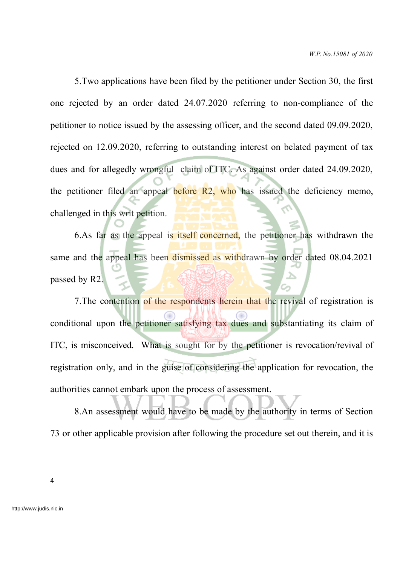5.Two applications have been filed by the petitioner under Section 30, the first one rejected by an order dated 24.07.2020 referring to non-compliance of the petitioner to notice issued by the assessing officer, and the second dated 09.09.2020, rejected on 12.09.2020, referring to outstanding interest on belated payment of tax dues and for allegedly wrongful claim of ITC. As against order dated 24.09.2020, the petitioner filed an appeal before  $R2$ , who has issued the deficiency memo, challenged in this writ petition.

6.As far as the appeal is itself concerned, the petitioner has withdrawn the same and the appeal has been dismissed as withdrawn by order dated 08.04.2021 passed by R2.

7. The contention of the respondents herein that the revival of registration is conditional upon the petitioner satisfying tax dues and substantiating its claim of ITC, is misconceived. What is sought for by the petitioner is revocation/revival of registration only, and in the guise of considering the application for revocation, the authorities cannot embark upon the process of assessment.

8.An assessment would have to be made by the authority in terms of Section 73 or other applicable provision after following the procedure set out therein, and it is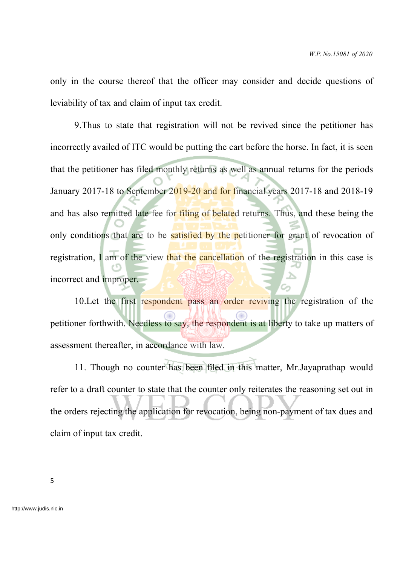only in the course thereof that the officer may consider and decide questions of leviability of tax and claim of input tax credit.

9.Thus to state that registration will not be revived since the petitioner has incorrectly availed of ITC would be putting the cart before the horse. In fact, it is seen that the petitioner has filed monthly returns as well as annual returns for the periods January 2017-18 to September 2019-20 and for financial years 2017-18 and 2018-19 and has also remitted late fee for filing of belated returns. Thus, and these being the only conditions that are to be satisfied by the petitioner for grant of revocation of registration, I am of the view that the cancellation of the registration in this case is incorrect and improper.

10.Let the first respondent pass an order reviving the registration of the petitioner forthwith. Needless to say, the respondent is at liberty to take up matters of assessment thereafter, in accordance with law.

11. Though no counter has been filed in this matter, Mr.Jayaprathap would refer to a draft counter to state that the counter only reiterates the reasoning set out in the orders rejecting the application for revocation, being non-payment of tax dues and claim of input tax credit.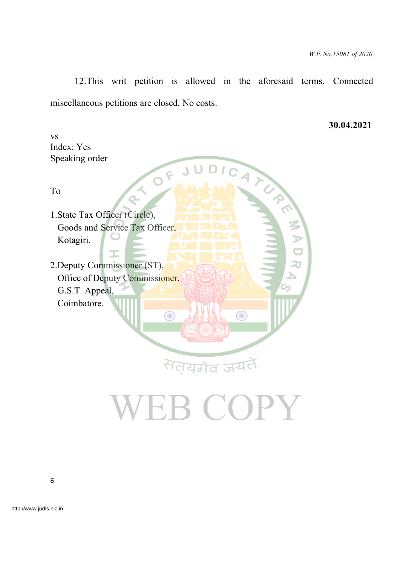12.This writ petition is allowed in the aforesaid terms. Connected miscellaneous petitions are closed. No costs.

**30.04.2021**

vs Index: Yes Speaking order

To

Speaking order<br>To<br>1.State Tax Officer (Circle), Goods and Service Tax Officer, Kotagiri.

T

2.Deputy Commissioner (ST), Office of Deputy Commissioner, G.S.T. Appeal, Coimbatore.

# VEB COPY

सत्यमेव जयतै

 $\bigcirc$ 

 $\bigcirc$